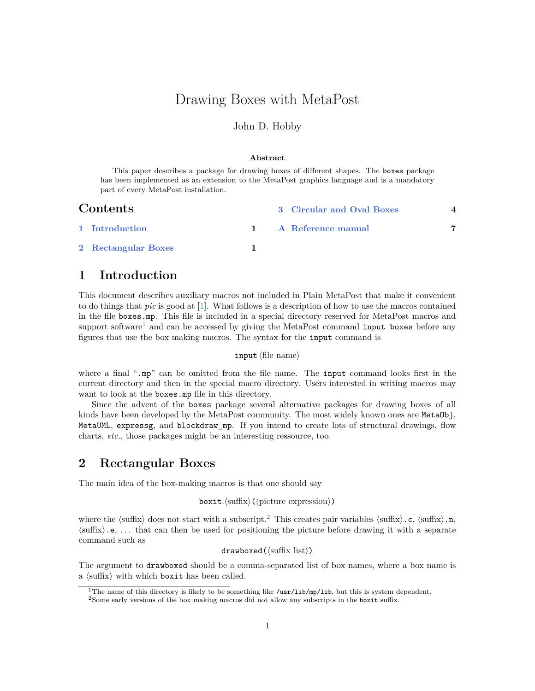# <span id="page-0-4"></span>Drawing Boxes with MetaPost

### John D. Hobby

#### **Abstract**

This paper describes a package for drawing boxes of different shapes. The boxes package has been implemented as an extension to the MetaPost graphics language and is a mandatory part of every MetaPost installation.

| <b>Contents</b> |                     |  | 3 Circular and Oval Boxes |  |  |
|-----------------|---------------------|--|---------------------------|--|--|
|                 | 1 Introduction      |  | 1 A Reference manual      |  |  |
|                 | 2 Rectangular Boxes |  |                           |  |  |

## <span id="page-0-0"></span>**1 Introduction**

This document describes auxiliary macros not included in Plain MetaPost that make it convenient to do things that *pic* is good at [\[1\]](#page-6-1). What follows is a description of how to use the macros contained in the file boxes.mp. This file is included in a special directory reserved for MetaPost macros and support software<sup>[1](#page-0-2)</sup> and can be accessed by giving the MetaPost command input boxes before any figures that use the box making macros. The syntax for the input command is

### input ⟨file name⟩

where a final ".mp" can be omitted from the file name. The input command looks first in the current directory and then in the special macro directory. Users interested in writing macros may want to look at the boxes.mp file in this directory.

Since the advent of the boxes package several alternative packages for drawing boxes of all kinds have been developed by the MetaPost community. The most widely known ones are MetaObj, MetaUML, expressg, and blockdraw\_mp. If you intend to create lots of structural drawings, flow charts, *etc.*, those packages might be an interesting ressource, too.

### <span id="page-0-1"></span>**2 Rectangular Boxes**

The main idea of the box-making macros is that one should say

boxit*.*⟨suffix⟩(⟨picture expression⟩)

where the  $\langle \text{suffix} \rangle$  does not start with a subscript.<sup>[2](#page-0-3)</sup> This creates pair variables  $\langle \text{suffix} \rangle$ .c,  $\langle \text{suffix} \rangle$ .n, ⟨suffix⟩.e, . . . that can then be used for positioning the picture before drawing it with a separate command such as

drawboxed(⟨suffix list⟩)

The argument to drawboxed should be a comma-separated list of box names, where a box name is a ⟨suffix⟩ with which boxit has been called.

<span id="page-0-2"></span><sup>&</sup>lt;sup>1</sup>The name of this directory is likely to be something like /usr/lib/mp/lib, but this is system dependent.

<span id="page-0-3"></span><sup>2</sup>Some early versions of the box making macros did not allow any subscripts in the boxit suffix.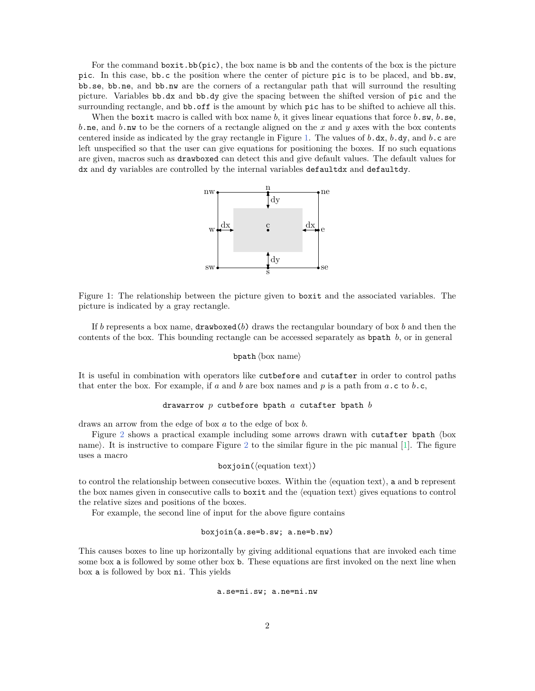<span id="page-1-1"></span>For the command boxit.bb( $pic$ ), the box name is bb and the contents of the box is the picture pic. In this case, bb.c the position where the center of picture pic is to be placed, and bb.sw, bb.se, bb.ne, and bb.nw are the corners of a rectangular path that will surround the resulting picture. Variables bb.dx and bb.dy give the spacing between the shifted version of pic and the surrounding rectangle, and bb.off is the amount by which pic has to be shifted to achieve all this.

<span id="page-1-0"></span>When the boxit macro is called with box name b, it gives linear equations that force  $b.\,\mathrm{sw},\,b.\,\mathrm{se},\,b$ b.ne, and b.nw to be the corners of a rectangle aligned on the x and y axes with the box contents centered inside as indicated by the gray rectangle in Figure [1.](#page-1-0) The values of  $b \cdot dx$ ,  $b \cdot dy$ , and  $b \cdot c$  are left unspecified so that the user can give equations for positioning the boxes. If no such equations are given, macros such as drawboxed can detect this and give default values. The default values for dx and dy variables are controlled by the internal variables defaultdx and defaultdy.



Figure 1: The relationship between the picture given to boxit and the associated variables. The picture is indicated by a gray rectangle.

If b represents a box name,  $d$ rawboxed $(b)$  draws the rectangular boundary of box b and then the contents of the box. This bounding rectangle can be accessed separately as both  $b$ , or in general

$$
\mathtt{bpath}\,\langle\mathrm{box}\,\,\mathrm{name}\rangle
$$

It is useful in combination with operators like cutbefore and cutafter in order to control paths that enter the box. For example, if  $a$  and  $b$  are box names and  $p$  is a path from  $a.c$  to  $b.c$ ,

$$
\texttt{drawarrow}\ \ p\ \ \texttt{cubicfore}\ \ \texttt{bpath}\ \ a\ \ \texttt{cutafter}\ \ \texttt{bpath}\ \ b
$$

draws an arrow from the edge of box  $a$  to the edge of box  $b$ .

Figure [2](#page-2-0) shows a practical example including some arrows drawn with cutafter bpath ⟨box name). It is instructive to compare Figure [2](#page-2-0) to the similar figure in the pic manual [\[1\]](#page-6-1). The figure uses a macro

$$
\mathtt{boxjoin}(\langle \text{equation text} \rangle)
$$

to control the relationship between consecutive boxes. Within the ⟨equation text⟩, a and b represent the box names given in consecutive calls to boxit and the ⟨equation text⟩ gives equations to control the relative sizes and positions of the boxes.

For example, the second line of input for the above figure contains

#### boxjoin(a.se=b.sw; a.ne=b.nw)

This causes boxes to line up horizontally by giving additional equations that are invoked each time some box a is followed by some other box b. These equations are first invoked on the next line when box a is followed by box ni. This yields

#### a.se=ni.sw; a.ne=ni.nw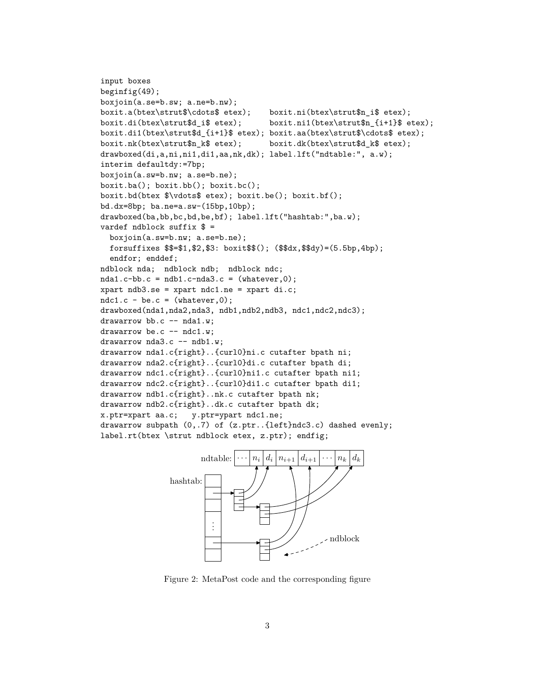```
input boxes
beginfig(49);
boxjoin(a.se=b.sw; a.ne=b.nw);
boxit.a(btex\strut$\cdots$ etex); boxit.ni(btex\strut$n_i$ etex);
boxit.di(btex\strut$d_i$ etex); boxit.ni1(btex\strut$n_{i+1}$ etex);
boxit.di1(btex\strut$d_{i+1}$ etex); boxit.aa(btex\strut$\cdots$ etex);
boxit.nk(btex\strut$n_k$ etex); boxit.dk(btex\strut$d_k$ etex);
drawboxed(di,a,ni,ni1,di1,aa,nk,dk); label.lft("ndtable:", a.w);
interim defaultdy:=7bp;
boxjoin(a.sw=b.nw; a.se=b.ne);
boxit.ba(); boxit.bb(); boxit.bc();
boxit.bd(btex $\vdots$ etex); boxit.be(); boxit.bf();
bd.dx=8bp; ba.ne=a.sw-(15bp,10bp);
drawboxed(ba,bb,bc,bd,be,bf); label.lft("hashtab:",ba.w);
vardef ndblock suffix $ =boxjoin(a.sw=b.nw; a.se=b.ne);
  forsuffixes $$=$1,$2,$3: boxit$$(); ($$dx,$$dy)=(5.5bp,4bp);
  endfor; enddef;
ndblock nda; ndblock ndb; ndblock ndc;
nda1.c-bb.c = ndb1.c-nda3.c = (whatever, 0);xpart ndb3.se = xpart ndc1.ne = xpart di.c;ndc1.c - be.c = (whatever, 0);drawboxed(nda1,nda2,nda3, ndb1,ndb2,ndb3, ndc1,ndc2,ndc3);
drawarrow bb.c -- nda1.w;
drawarrow be.c -- ndc1.w;
drawarrow nda3.c -- ndb1.w;
drawarrow nda1.c{right}..{curl0}ni.c cutafter bpath ni;
drawarrow nda2.c{right}..{curl0}di.c cutafter bpath di;
drawarrow ndc1.c{right}..{curl0}ni1.c cutafter bpath ni1;
drawarrow ndc2.c{right}..{curl0}di1.c cutafter bpath di1;
drawarrow ndb1.c{right}..nk.c cutafter bpath nk;
drawarrow ndb2.c{right}..dk.c cutafter bpath dk;
x.ptr=xpart aa.c; y.ptr=ypart ndc1.ne;
drawarrow subpath (0,.7) of (z.ptr..{left}ndc3.c) dashed evenly;
label.rt(btex \strut ndblock etex, z.ptr); endfig;
```


Figure 2: MetaPost code and the corresponding figure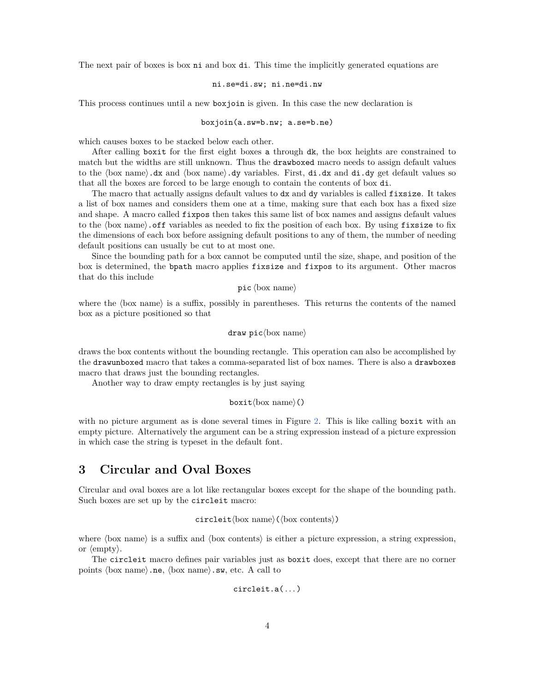<span id="page-3-1"></span>The next pair of boxes is box **ni** and box **di**. This time the implicitly generated equations are

#### ni.se=di.sw; ni.ne=di.nw

This process continues until a new boxjoin is given. In this case the new declaration is

#### boxjoin(a.sw=b.nw; a.se=b.ne)

which causes boxes to be stacked below each other.

After calling boxit for the first eight boxes a through dk, the box heights are constrained to match but the widths are still unknown. Thus the drawboxed macro needs to assign default values to the ⟨box name⟩.dx and ⟨box name⟩.dy variables. First, di.dx and di.dy get default values so that all the boxes are forced to be large enough to contain the contents of box di.

The macro that actually assigns default values to dx and dy variables is called fixsize. It takes a list of box names and considers them one at a time, making sure that each box has a fixed size and shape. A macro called fixpos then takes this same list of box names and assigns default values to the ⟨box name⟩.off variables as needed to fix the position of each box. By using fixsize to fix the dimensions of each box before assigning default positions to any of them, the number of needing default positions can usually be cut to at most one.

Since the bounding path for a box cannot be computed until the size, shape, and position of the box is determined, the bpath macro applies fixsize and fixpos to its argument. Other macros that do this include

```
pic ⟨box name⟩
```
where the  $\langle$ box name $\rangle$  is a suffix, possibly in parentheses. This returns the contents of the named box as a picture positioned so that

#### draw pic⟨box name⟩

draws the box contents without the bounding rectangle. This operation can also be accomplished by the drawunboxed macro that takes a comma-separated list of box names. There is also a drawboxes macro that draws just the bounding rectangles.

Another way to draw empty rectangles is by just saying

#### boxit⟨box name⟩()

with no picture argument as is done several times in Figure [2.](#page-2-0) This is like calling boxit with an empty picture. Alternatively the argument can be a string expression instead of a picture expression in which case the string is typeset in the default font.

### <span id="page-3-0"></span>**3 Circular and Oval Boxes**

Circular and oval boxes are a lot like rectangular boxes except for the shape of the bounding path. Such boxes are set up by the circleit macro:

$$
circleit \langle box \ name \rangle (\langle box \ contents \rangle)
$$

where  $\langle$ box name $\rangle$  is a suffix and  $\langle$ box contents $\rangle$  is either a picture expression, a string expression, or ⟨empty⟩.

The circleit macro defines pair variables just as boxit does, except that there are no corner points  $\langle$ box name $\rangle$ .ne,  $\langle$ box name $\rangle$ .sw, etc. A call to

$$
circleit.a(\ldots)
$$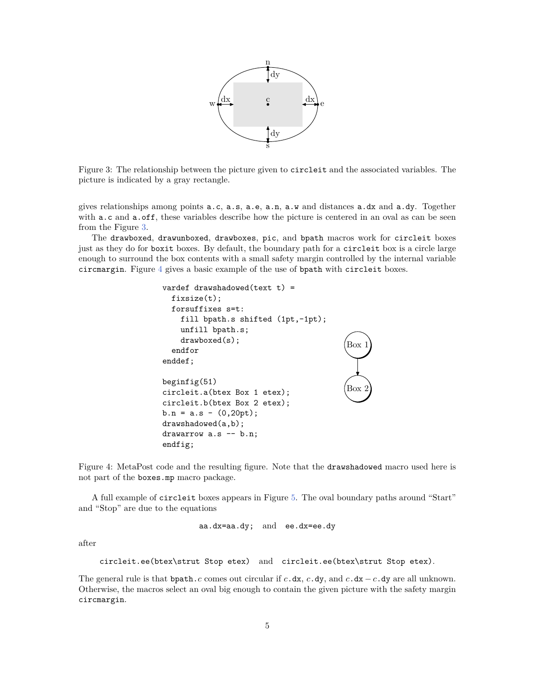<span id="page-4-2"></span>

<span id="page-4-0"></span>Figure 3: The relationship between the picture given to circleit and the associated variables. The picture is indicated by a gray rectangle.

gives relationships among points a.c, a.s, a.e, a.n, a.w and distances a.dx and a.dy. Together with a.c and a.off, these variables describe how the picture is centered in an oval as can be seen from the Figure [3.](#page-4-0)

<span id="page-4-1"></span>The drawboxed, drawunboxed, drawboxes, pic, and bpath macros work for circleit boxes just as they do for boxit boxes. By default, the boundary path for a circleit box is a circle large enough to surround the box contents with a small safety margin controlled by the internal variable circmargin. Figure [4](#page-4-1) gives a basic example of the use of bpath with circleit boxes.



Figure 4: MetaPost code and the resulting figure. Note that the drawshadowed macro used here is not part of the boxes.mp macro package.

A full example of circleit boxes appears in Figure [5.](#page-5-0) The oval boundary paths around "Start" and "Stop" are due to the equations

aa.dx=aa.dy; and ee.dx=ee.dy

after

```
circleit.ee(btex\strut Stop etex) and circleit.ee(btex\strut Stop etex).
```
The general rule is that bpath. c comes out circular if  $c \cdot dx$ ,  $c \cdot dy$ , and  $c \cdot dx - c \cdot dy$  are all unknown. Otherwise, the macros select an oval big enough to contain the given picture with the safety margin circmargin.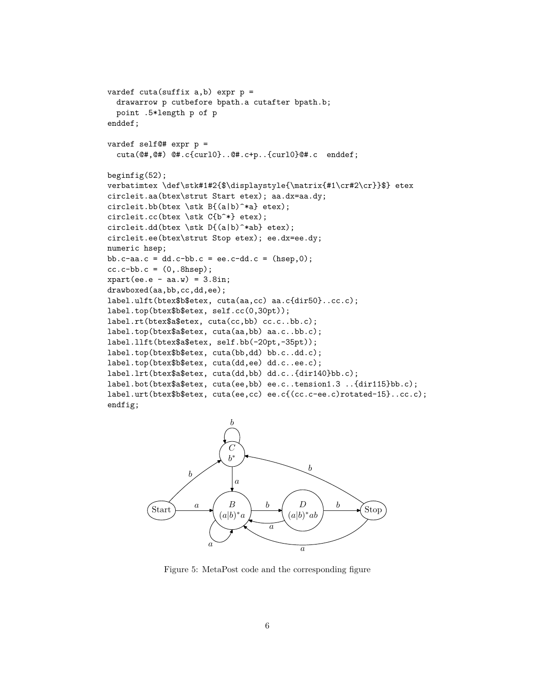```
vardef cuta(suffix a,b) expr p =drawarrow p cutbefore bpath.a cutafter bpath.b;
  point .5*length p of p
enddef;
vardef self@# expr p =
  cuta(@#,@#) @#.c{curl0}..@#.c+p..{curl0}@#.c enddef;
beginfig(52);
verbatimtex \def\stk#1#2{$\displaystyle{\matrix{#1\cr#2\cr}}$} etex
circleit.aa(btex\strut Start etex); aa.dx=aa.dy;
circleit.bb(btex \stk B{(a|b)^*a} etex);
circleit.cc(btex \stk C{b^*} etex);
circleit.dd(btex \stk D\{(a|b)^**ab\} etex);
circleit.ee(btex\strut Stop etex); ee.dx=ee.dy;
numeric hsep;
bb.c-aa.c = dd.c-bb.c = ee.c-dd.c = (hsep,0);cc.c-bb.c = (0,.8hsep);xpart(ee.e - aa.w) = 3.8in;drawboxed(aa,bb,cc,dd,ee);
label.ulft(btex$b$etex, cuta(aa,cc) aa.c{dir50}..cc.c);
label.top(btex$b$etex, self.cc(0,30pt));
label.rt(btex$a$etex, cuta(cc,bb) cc.c..bb.c);
label.top(btex$a$etex, cuta(aa,bb) aa.c..bb.c);
label.llft(btex$a$etex, self.bb(-20pt,-35pt));
label.top(btex$b$etex, cuta(bb,dd) bb.c..dd.c);
label.top(btex$b$etex, cuta(dd,ee) dd.c..ee.c);
label.lrt(btex$a$etex, cuta(dd,bb) dd.c..{dir140}bb.c);
label.bot(btex$a$etex, cuta(ee,bb) ee.c..tension1.3 ..{dir115}bb.c);
label.urt(btex$b$etex, cuta(ee,cc) ee.c{(cc.c-ee.c)rotated-15}..cc.c);
endfig;
```


Figure 5: MetaPost code and the corresponding figure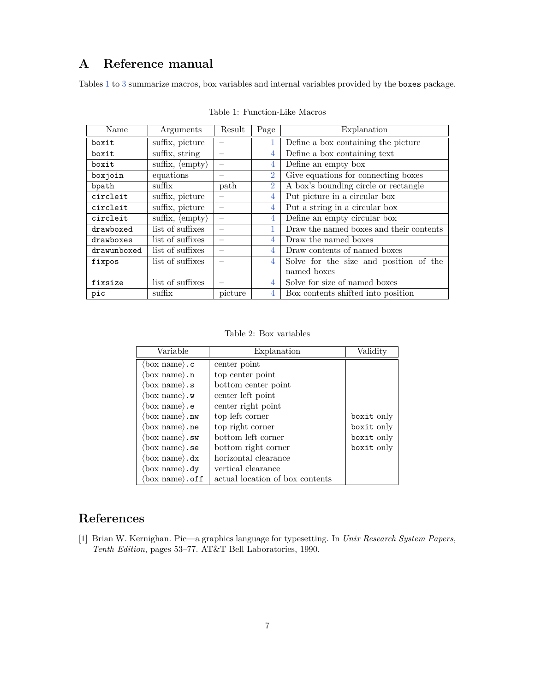# <span id="page-6-3"></span><span id="page-6-0"></span>**A Reference manual**

<span id="page-6-2"></span>Tables [1](#page-6-2) to [3](#page-7-0) summarize macros, box variables and internal variables provided by the boxes package.

| Name        | Arguments                              | Result                   | Page           | Explanation                             |
|-------------|----------------------------------------|--------------------------|----------------|-----------------------------------------|
| boxit       | suffix, picture                        |                          |                | Define a box containing the picture     |
| boxit       | suffix, string                         | -                        | 4              | Define a box containing text            |
| boxit       | suffix, $\langle \text{empty} \rangle$ |                          | 4              | Define an empty box                     |
| boxjoin     | equations                              |                          | $\overline{2}$ | Give equations for connecting boxes     |
| bpath       | suffix                                 | path                     | $\overline{2}$ | A box's bounding circle or rectangle    |
| circleit    | suffix, picture                        |                          | 4              | Put picture in a circular box           |
| circleit    | suffix, picture                        | $\overline{\phantom{m}}$ | 4              | Put a string in a circular box          |
| circleit    | suffix, $\langle \text{empty} \rangle$ | $\overline{\phantom{m}}$ | $\overline{4}$ | Define an empty circular box            |
| drawboxed   | list of suffixes                       | -                        |                | Draw the named boxes and their contents |
| drawboxes   | list of suffixes                       |                          | 4              | Draw the named boxes                    |
| drawunboxed | list of suffixes                       |                          | $\overline{4}$ | Draw contents of named boxes            |
| fixpos      | list of suffixes                       |                          | 4              | Solve for the size and position of the  |
|             |                                        |                          |                | named boxes                             |
| fixsize     | list of suffixes                       |                          | $\overline{4}$ | Solve for size of named boxes           |
| pic         | suffix                                 | picture                  | $\overline{4}$ | Box contents shifted into position      |

Table 1: Function-Like Macros

Table 2: Box variables

| Variable                          | Explanation                     | Validity   |
|-----------------------------------|---------------------------------|------------|
| $\langle$ box name $\rangle$ .c   | center point                    |            |
| $\langle$ box name $\rangle$ .n   | top center point                |            |
| $\langle$ box name $\rangle$ . s  | bottom center point             |            |
| $\langle$ box name $\rangle$ .w   | center left point               |            |
| $\langle$ box name $\rangle$ .e   | center right point              |            |
| $\langle$ box name $\rangle$ .nw  | top left corner                 | boxit only |
| $\langle$ box name $\rangle$ .ne  | top right corner                | boxit only |
| $\langle$ box name $\rangle$ .sw  | bottom left corner              | boxit only |
| $\langle$ box name $\rangle$ .se  | bottom right corner             | boxit only |
| $\langle$ box name $\rangle$ .dx  | horizontal clearance            |            |
| $\langle$ box name $\rangle$ .dy  | vertical clearance              |            |
| $\langle$ box name $\rangle$ .off | actual location of box contents |            |

# **References**

<span id="page-6-1"></span>[1] Brian W. Kernighan. Pic—a graphics language for typesetting. In *Unix Research System Papers, Tenth Edition*, pages 53–77. AT&T Bell Laboratories, 1990.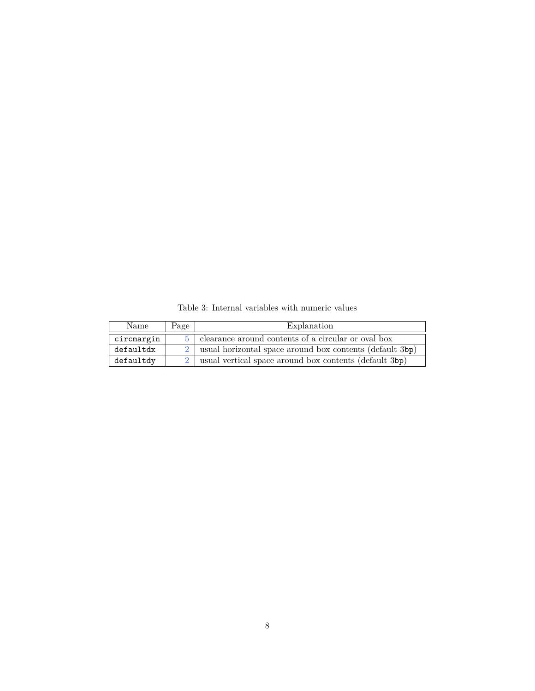<span id="page-7-0"></span>

| Name       | Page | Explanation                                                  |
|------------|------|--------------------------------------------------------------|
| circmargin |      | clearance around contents of a circular or oval box          |
| defaultdx  |      | 2   usual horizontal space around box contents (default 3bp) |
| defaultdy  |      | usual vertical space around box contents (default 3bp)       |

<span id="page-7-1"></span>Table 3: Internal variables with numeric values